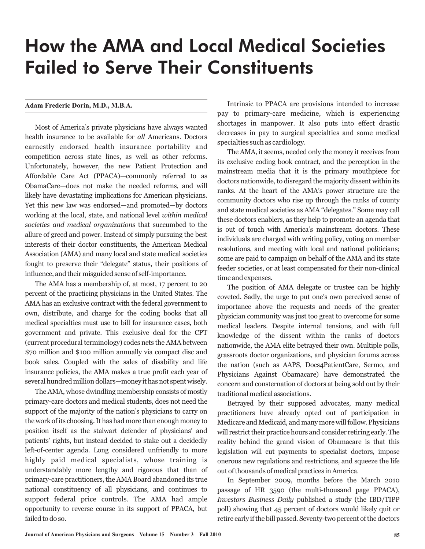## How the AMA and Local Medical Societies Failed to Serve Their Constituents

## **Adam Frederic Dorin, M.D., M.B.A.**

Most of America's private physicians have always wanted health insurance to be available for all Americans. Doctors earnestly endorsed health insurance portability and competition across state lines, as well as other reforms. Unfortunately, however, the new Patient Protection and Affordable Care Act (PPACA)—commonly referred to as ObamaCare—does not make the needed reforms, and will likely have devastating implications for American physicians. Yet this new law was endorsed—and promoted—by doctors working at the local, state, and national level *within medical* societies and medical organizations that succumbed to the allure of greed and power. Instead of simply pursuing the best interests of their doctor constituents, the American Medical Association (AMA) and many local and state medical societies fought to preserve their "delegate" status, their positions of influence, and their misguided sense of self-importance.

The AMA has a membership of, at most, 17 percent to 20 percent of the practicing physicians in the United States. The AMA has an exclusive contract with the federal government to own, distribute, and charge for the coding books that all medical specialties must use to bill for insurance cases, both government and private. This exclusive deal for the CPT (current procedural terminology) codes nets the AMA between \$70 million and \$100 million annually via compact disc and book sales. Coupled with the sales of disability and life insurance policies, the AMA makes a true profit each year of several hundred million dollars—money it has not spent wisely.

The AMA, whose dwindling membership consists of mostly primary-care doctors and medical students, does not need the support of the majority of the nation's physicians to carry on the work of its choosing. It has had more than enough money to position itself as the stalwart defender of physicians' and patients' rights, but instead decided to stake out a decidedly left-of-center agenda. Long considered unfriendly to more highly paid medical specialists, whose training is understandably more lengthy and rigorous that than of primary-care practitioners, the AMA Board abandoned its true national constituency of all physicians, and continues to support federal price controls. The AMA had ample opportunity to reverse course in its support of PPACA, but failed to do so.

Intrinsic to PPACA are provisions intended to increase pay to primary-care medicine, which is experiencing shortages in manpower. It also puts into effect drastic decreases in pay to surgical specialties and some medical specialties such as cardiology.

The AMA, it seems, needed only the money it receives from its exclusive coding book contract, and the perception in the mainstream media that it is the primary mouthpiece for doctors nationwide, to disregard the majority dissent within its ranks. At the heart of the AMA's power structure are the community doctors who rise up through the ranks of county and state medical societies as AMA "delegates." Some may call these doctors enablers, as they help to promote an agenda that is out of touch with America's mainstream doctors. These individuals are charged with writing policy, voting on member resolutions, and meeting with local and national politicians; some are paid to campaign on behalf of the AMA and its state feeder societies, or at least compensated for their non-clinical time and expenses.

The position of AMA delegate or trustee can be highly coveted. Sadly, the urge to put one's own perceived sense of importance above the requests and needs of the greater physician community was just too great to overcome for some medical leaders. Despite internal tensions, and with full knowledge of the dissent within the ranks of doctors nationwide, the AMA elite betrayed their own. Multiple polls, grassroots doctor organizations, and physician forums across the nation (such as AAPS, Docs4PatientCare, Sermo, and Physicians Against Obamacare) have demonstrated the concern and consternation of doctors at being sold out by their traditional medical associations.

Betrayed by their supposed advocates, many medical practitioners have already opted out of participation in Medicare and Medicaid, and many more will follow. Physicians will restrict their practice hours and consider retiring early. The reality behind the grand vision of Obamacare is that this legislation will cut payments to specialist doctors, impose onerous new regulations and restrictions, and squeeze the life out of thousands of medical practices in America.

In September 2009, months before the March 2010 passage of HR 3590 (the multi-thousand page PPACA), *Investors Business Daily* published a study (the IBD/TIPP poll) showing that 45 percent of doctors would likely quit or retire early if the bill passed. Seventy-two percent of the doctors